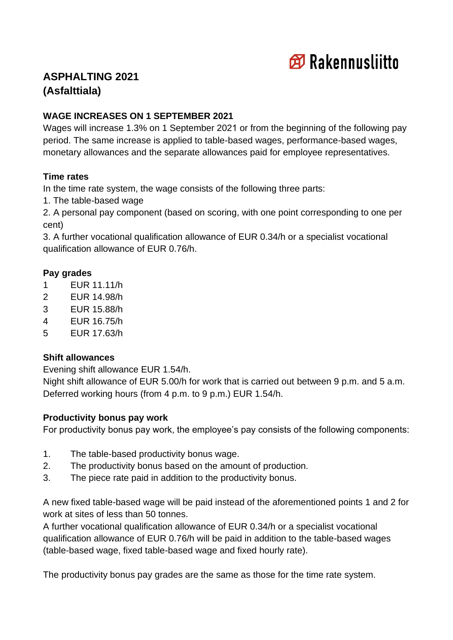

# **ASPHALTING 2021 (Asfalttiala)**

## **WAGE INCREASES ON 1 SEPTEMBER 2021**

Wages will increase 1.3% on 1 September 2021 or from the beginning of the following pay period. The same increase is applied to table-based wages, performance-based wages, monetary allowances and the separate allowances paid for employee representatives.

## **Time rates**

In the time rate system, the wage consists of the following three parts:

1. The table-based wage

2. A personal pay component (based on scoring, with one point corresponding to one per cent)

3. A further vocational qualification allowance of EUR 0.34/h or a specialist vocational qualification allowance of EUR 0.76/h.

# **Pay grades**

- 1 EUR 11.11/h
- 2 EUR 14.98/h
- 3 EUR 15.88/h
- 4 EUR 16.75/h
- 5 EUR 17.63/h

#### **Shift allowances**

Evening shift allowance EUR 1.54/h.

Night shift allowance of EUR 5.00/h for work that is carried out between 9 p.m. and 5 a.m. Deferred working hours (from 4 p.m. to 9 p.m.) EUR 1.54/h.

#### **Productivity bonus pay work**

For productivity bonus pay work, the employee's pay consists of the following components:

- 1. The table-based productivity bonus wage.
- 2. The productivity bonus based on the amount of production.
- 3. The piece rate paid in addition to the productivity bonus.

A new fixed table-based wage will be paid instead of the aforementioned points 1 and 2 for work at sites of less than 50 tonnes.

A further vocational qualification allowance of EUR 0.34/h or a specialist vocational qualification allowance of EUR 0.76/h will be paid in addition to the table-based wages (table-based wage, fixed table-based wage and fixed hourly rate).

The productivity bonus pay grades are the same as those for the time rate system.